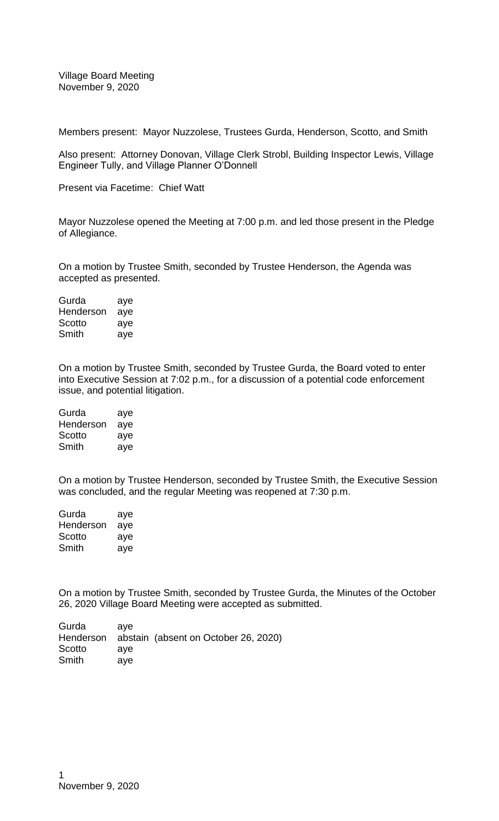Village Board Meeting November 9, 2020

Members present: Mayor Nuzzolese, Trustees Gurda, Henderson, Scotto, and Smith

Also present: Attorney Donovan, Village Clerk Strobl, Building Inspector Lewis, Village Engineer Tully, and Village Planner O'Donnell

Present via Facetime: Chief Watt

Mayor Nuzzolese opened the Meeting at 7:00 p.m. and led those present in the Pledge of Allegiance.

On a motion by Trustee Smith, seconded by Trustee Henderson, the Agenda was accepted as presented.

| Gurda     | aye |
|-----------|-----|
| Henderson | aye |
| Scotto    | aye |
| Smith     | aye |

On a motion by Trustee Smith, seconded by Trustee Gurda, the Board voted to enter into Executive Session at 7:02 p.m., for a discussion of a potential code enforcement issue, and potential litigation.

| Gurda     | aye |
|-----------|-----|
| Henderson | aye |
| Scotto    | aye |
| Smith     | aye |

On a motion by Trustee Henderson, seconded by Trustee Smith, the Executive Session was concluded, and the regular Meeting was reopened at 7:30 p.m.

| Gurda     | aye |
|-----------|-----|
| Henderson | aye |
| Scotto    | aye |
| Smith     | aye |

On a motion by Trustee Smith, seconded by Trustee Gurda, the Minutes of the October 26, 2020 Village Board Meeting were accepted as submitted.

| Gurda  | ave |                                                |
|--------|-----|------------------------------------------------|
|        |     | Henderson abstain (absent on October 26, 2020) |
| Scotto | ave |                                                |
| Smith  | ave |                                                |